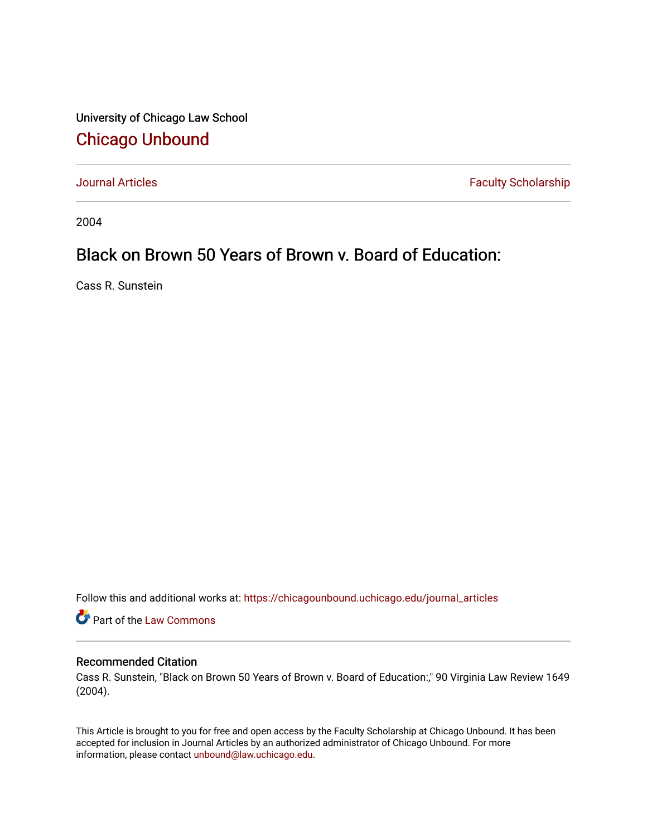University of Chicago Law School [Chicago Unbound](https://chicagounbound.uchicago.edu/)

[Journal Articles](https://chicagounbound.uchicago.edu/journal_articles) **Faculty Scholarship Faculty Scholarship** 

2004

# Black on Brown 50 Years of Brown v. Board of Education:

Cass R. Sunstein

Follow this and additional works at: [https://chicagounbound.uchicago.edu/journal\\_articles](https://chicagounbound.uchicago.edu/journal_articles?utm_source=chicagounbound.uchicago.edu%2Fjournal_articles%2F8292&utm_medium=PDF&utm_campaign=PDFCoverPages) 

Part of the [Law Commons](http://network.bepress.com/hgg/discipline/578?utm_source=chicagounbound.uchicago.edu%2Fjournal_articles%2F8292&utm_medium=PDF&utm_campaign=PDFCoverPages)

## Recommended Citation

Cass R. Sunstein, "Black on Brown 50 Years of Brown v. Board of Education:," 90 Virginia Law Review 1649 (2004).

This Article is brought to you for free and open access by the Faculty Scholarship at Chicago Unbound. It has been accepted for inclusion in Journal Articles by an authorized administrator of Chicago Unbound. For more information, please contact [unbound@law.uchicago.edu](mailto:unbound@law.uchicago.edu).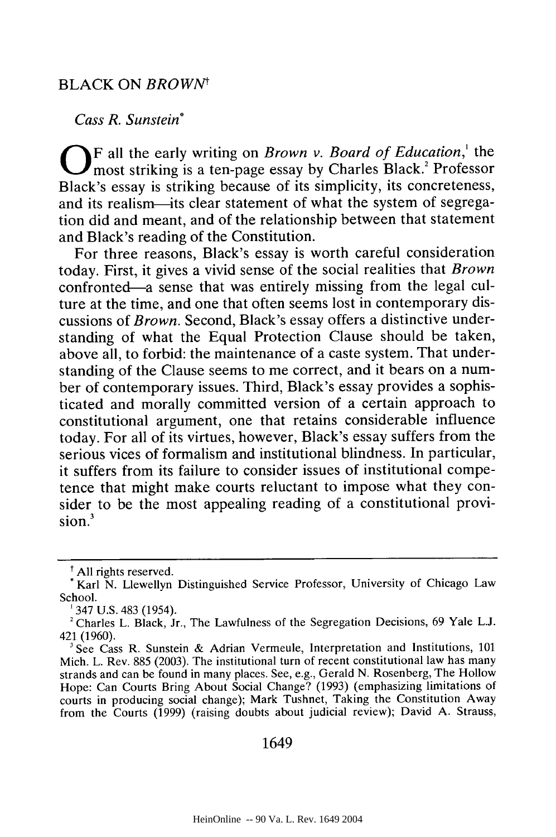### BLACK ON *BROWNt*

## *Cass R. Sunstein\**

**O** F all the early writing on *Brown v. Board of Education,'* the most striking is a ten-page essay by Charles Black.<sup>2</sup> Professor Black's essay is striking because of its simplicity, its concreteness, and its realism-its clear statement of what the system of segregation did and meant, and of the relationship between that statement and Black's reading of the Constitution.

For three reasons, Black's essay is worth careful consideration today. First, it gives a vivid sense of the social realities that *Brown* confronted-a sense that was entirely missing from the legal culture at the time, and one that often seems lost in contemporary discussions of *Brown.* Second, Black's essay offers a distinctive understanding of what the Equal Protection Clause should be taken, above all, to forbid: the maintenance of a caste system. That understanding of the Clause seems to me correct, and it bears on a number of contemporary issues. Third, Black's essay provides a sophisticated and morally committed version of a certain approach to constitutional argument, one that retains considerable influence today. For all of its virtues, however, Black's essay suffers from the serious vices of formalism and institutional blindness. In particular, it suffers from its failure to consider issues of institutional competence that might make courts reluctant to impose what they consider to be the most appealing reading of a constitutional provision.<sup>3</sup>

### 1649

<sup>&</sup>lt;sup>t</sup> All rights reserved.<br>\* Karl N. Llewellyn Distinguished Service Professor, University of Chicago Law School.<br><sup>1</sup>347 U.S. 483 (1954).

<sup>&#</sup>x27;Charles L. Black, Jr., The Lawfulness of the Segregation Decisions, 69 Yale L.J. 421 (1960).

<sup>&</sup>lt;sup>3</sup> See Cass R. Sunstein & Adrian Vermeule, Interpretation and Institutions, 101 Mich. L. Rev. 885 (2003). The institutional turn of recent constitutional law has many strands and can be found in many places. See, e.g., Gerald N. Rosenberg, The Hollow Hope: Can Courts Bring About Social Change? (1993) (emphasizing limitations of courts in producing social change); Mark Tushnet, Taking the Constitution Away from the Courts (1999) (raising doubts about judicial review); David A. Strauss,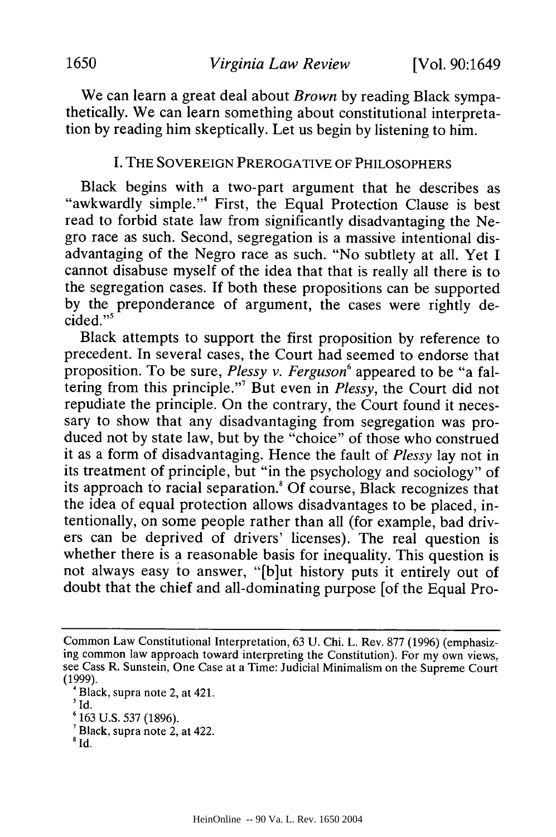We can learn a great deal about *Brown* by reading Black sympathetically. We can learn something about constitutional interpretation by reading him skeptically. Let us begin by listening to him.

### I. THE SOVEREIGN PREROGATIVE OF PHILOSOPHERS

Black begins with a two-part argument that he describes as "awkwardly simple."4 First, the Equal Protection Clause is best read to forbid state law from significantly disadvantaging the Negro race as such. Second, segregation is a massive intentional disadvantaging of the Negro race as such. "No subtlety at all. Yet I cannot disabuse myself of the idea that that is really all there is to the segregation cases. If both these propositions can be supported by the preponderance of argument, the cases were rightly decided."'

Black attempts to support the first proposition by reference to precedent. In several cases, the Court had seemed to endorse that proposition. To be sure, *Plessy v. Ferguson*<sup>6</sup> appeared to be "a faltering from this principle."7 But even in *Plessy,* the Court did not repudiate the principle. On the contrary, the Court found it necessary to show that any disadvantaging from segregation was produced not by state law, but by the "choice" of those who construed it as a form of disadvantaging. Hence the fault of *Plessy* lay not in its treatment of principle, but "in the psychology and sociology" of its approach to racial separation.<sup>8</sup> Of course, Black recognizes that the idea of equal protection allows disadvantages to be placed, intentionally, on some people rather than all (for example, bad drivers can be deprived of drivers' licenses). The real question is whether there is a reasonable basis for inequality. This question is not always easy to answer, "[b]ut history puts it entirely out of doubt that the chief and all-dominating purpose [of the Equal Pro-

**8 Id.**

Common Law Constitutional Interpretation, 63 U. Chi. L. Rev. 877 (1996) (emphasizing common law approach toward interpreting the Constitution). For my own views, see Cass R. Sunstein, One Case at a Time: Judicial Minimalism on the Supreme Court (1999).

<sup>&#</sup>x27;Black, supra note 2, at 421.

 $<sup>5</sup>$  Id.</sup>

 $\frac{6}{1}$  163 U.S. 537 (1896).<br> $\frac{7}{1}$  Black, supra note 2, at 422.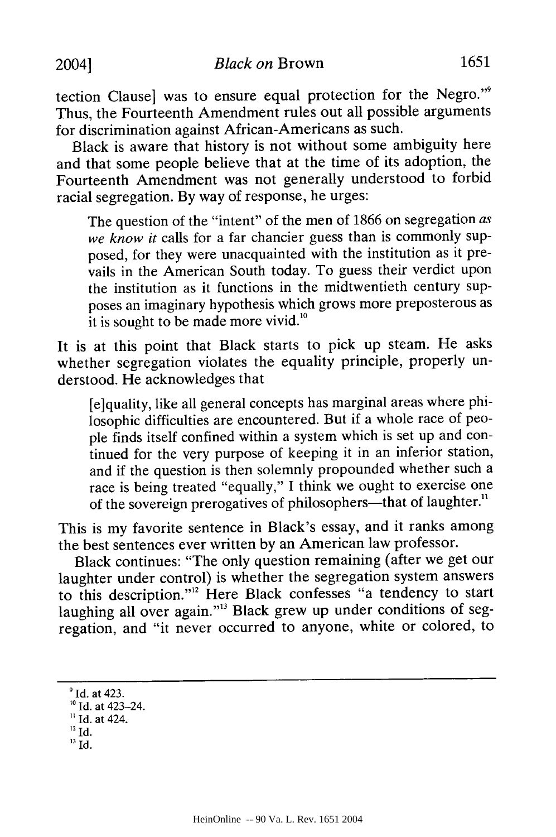tection Clause] was to ensure equal protection for the Negro."<sup>9</sup> Thus, the Fourteenth Amendment rules out all possible arguments for discrimination against African-Americans as such.

Black is aware that history is not without some ambiguity here and that some people believe that at the time of its adoption, the Fourteenth Amendment was not generally understood to forbid racial segregation. By way of response, he urges:

The question of the "intent" of the men of 1866 on segregation *as we know it* calls for a far chancier guess than is commonly supposed, for they were unacquainted with the institution as it prevails in the American South today. To guess their verdict upon the institution as it functions in the midtwentieth century supposes an imaginary hypothesis which grows more preposterous as it is sought to be made more vivid. $^{10}$ 

It is at this point that Black starts to pick up steam. He asks whether segregation violates the equality principle, properly understood. He acknowledges that

[e]quality, like all general concepts has marginal areas where philosophic difficulties are encountered. But if a whole race of people finds itself confined within a system which is set up and continued for the very purpose of keeping it in an inferior station, and if the question is then solemnly propounded whether such a race is being treated "equally," I think we ought to exercise one of the sovereign prerogatives of philosophers—that of laughter.<sup>11</sup>

This is my favorite sentence in Black's essay, and it ranks among the best sentences ever written by an American law professor.

Black continues: "The only question remaining (after we get our laughter under control) is whether the segregation system answers to this description."<sup>12</sup> Here Black confesses "a tendency to start laughing all over again."<sup>13</sup> Black grew up under conditions of segregation, and "it never occurred to anyone, white or colored, to

- $12$  Id.
- **13** Id.

<sup>&#</sup>x27;Id. at 423.

**<sup>&#</sup>x27;0** Id. at 423-24.

**<sup>&</sup>quot;** Id. at 424.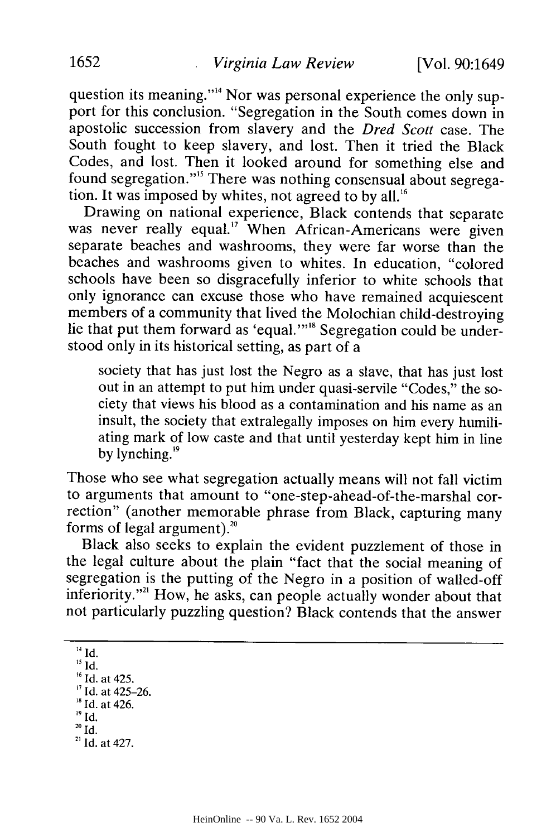question its meaning."'" Nor was personal experience the only support for this conclusion. "Segregation in the South comes down in apostolic succession from slavery and the *Dred Scott* case. The South fought to keep slavery, and lost. Then it tried the Black Codes, and lost. Then it looked around for something else and found segregation."<sup>15</sup> There was nothing consensual about segregation. It was imposed by whites, not agreed to by all.<sup>16</sup>

Drawing on national experience, Black contends that separate was never really equal.<sup>17</sup> When African-Americans were given separate beaches and washrooms, they were far worse than the beaches and washrooms given to whites. In education, "colored schools have been so disgracefully inferior to white schools that only ignorance can excuse those who have remained acquiescent members of a community that lived the Molochian child-destroying lie that put them forward as 'equal."<sup>18</sup> Segregation could be understood only in its historical setting, as part of a

society that has just lost the Negro as a slave, that has just lost out in an attempt to put him under quasi-servile "Codes," the society that views his blood as a contamination and his name as an insult, the society that extralegally imposes on him every humiliating mark of low caste and that until yesterday kept him in line by lynching. $^{19}$ 

Those who see what segregation actually means will not fall victim to arguments that amount to "one-step-ahead-of-the-marshal correction" (another memorable phrase from Black, capturing many forms of legal argument). $20$ 

Black also seeks to explain the evident puzzlement of those in the legal culture about the plain "fact that the social meaning of segregation is the putting of the Negro in a position of walled-off inferiority."<sup>21</sup> How, he asks, can people actually wonder about that not particularly puzzling question? Black contends that the answer

 $14$  Id. **15** Id. ' $^{16}$  Id.<br> $^{16}$  Id. at 425.  $\frac{1}{8}$ Id. at 425–26. **19** Id. 20 **Id. " Id.** at 427.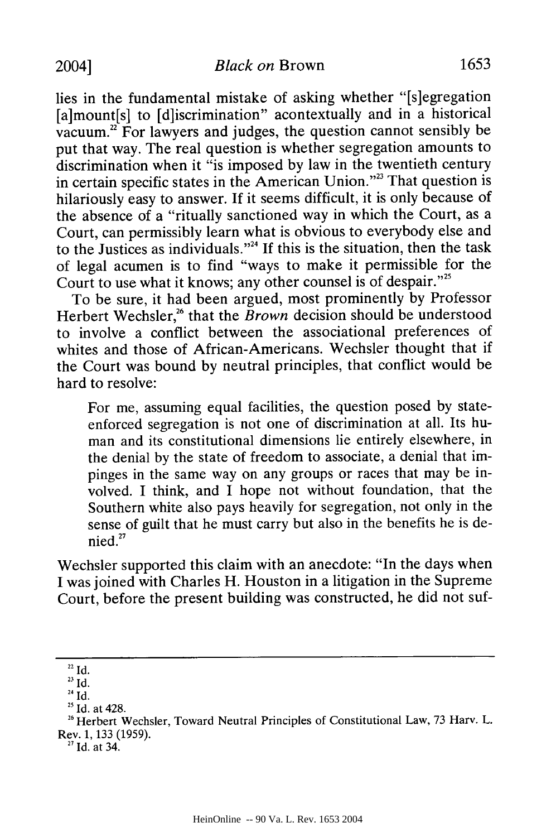lies in the fundamental mistake of asking whether "[s]egregation [a]mount[s] to [d]iscrimination" acontextually and in a historical vacuum.<sup> $22$ </sup> For lawyers and judges, the question cannot sensibly be put that way. The real question is whether segregation amounts to discrimination when it "is imposed by law in the twentieth century in certain specific states in the American Union."<sup>23</sup> That question is hilariously easy to answer. If it seems difficult, it is only because of the absence of a "ritually sanctioned way in which the Court, as a Court, can permissibly learn what is obvious to everybody else and to the Justices as individuals."24 If this is the situation, then the task of legal acumen is to find "ways to make it permissible for the Court to use what it knows; any other counsel is of despair."<sup>25</sup>

To be sure, it had been argued, most prominently by Professor Herbert Wechsler,<sup>26</sup> that the *Brown* decision should be understood to involve a conflict between the associational preferences of whites and those of African-Americans. Wechsler thought that if the Court was bound by neutral principles, that conflict would be hard to resolve:

For me, assuming equal facilities, the question posed by stateenforced segregation is not one of discrimination at all. Its human and its constitutional dimensions lie entirely elsewhere, in the denial by the state of freedom to associate, a denial that impinges in the same way on any groups or races that may be involved. I think, and I hope not without foundation, that the Southern white also pays heavily for segregation, not only in the sense of guilt that he must carry but also in the benefits he is denied.<sup>27</sup>

Wechsler supported this claim with an anecdote: "In the days when I was joined with Charles H. Houston in a litigation in the Supreme Court, before the present building was constructed, he did not suf-

<sup>22</sup> **Id.** 23 **Id.** 24 **Id.** 25

<sup>&</sup>lt;sup>25</sup> Id. at 428.

<sup>&</sup>lt;sup>26</sup> Herbert Wechsler, Toward Neutral Principles of Constitutional Law, 73 Harv. L. Rev. 1, 133 (1959).<br><sup>27</sup> Id. at 34.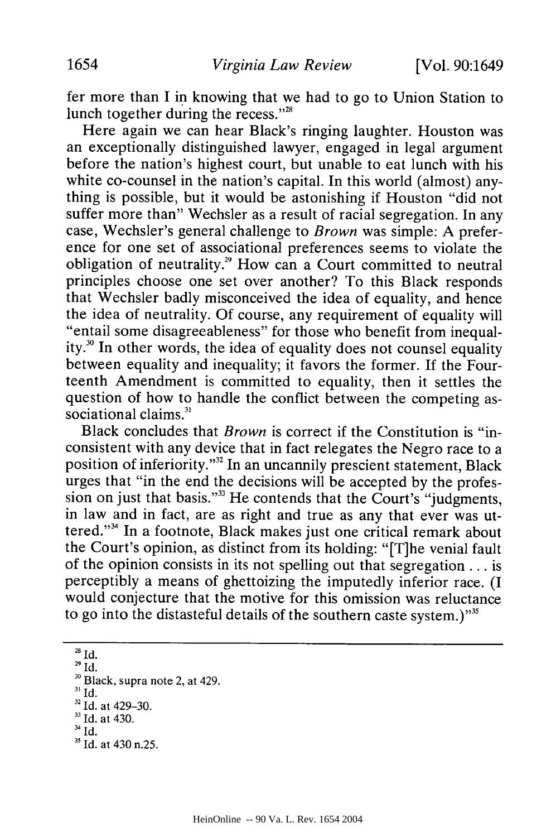fer more than I in knowing that we had to go to Union Station to lunch together during the recess."<sup>28</sup>

Here again we can hear Black's ringing laughter. Houston was an exceptionally distinguished lawyer, engaged in legal argument before the nation's highest court, but unable to eat lunch with his white co-counsel in the nation's capital. In this world (almost) anything is possible, but it would be astonishing if Houston "did not suffer more than" Wechsler as a result of racial segregation. In any case, Wechsler's general challenge to *Brown* was simple: A preference for one set of associational preferences seems to violate the obligation of neutrality.<sup>29</sup> How can a Court committed to neutral principles choose one set over another? To this Black responds that Wechsler badly misconceived the idea of equality, and hence the idea of neutrality. Of course, any requirement of equality will "entail some disagreeableness" for those who benefit from inequality.<sup>30</sup> In other words, the idea of equality does not counsel equality between equality and inequality; it favors the former. If the Fourteenth Amendment is committed to equality, then it settles the question of how to handle the conflict between the competing associational claims.<sup>31</sup>

Black concludes that *Brown* is correct if the Constitution is "inconsistent with any device that in fact relegates the Negro race to a position of inferiority."32 In an uncannily prescient statement, Black urges that "in the end the decisions will be accepted by the profession on just that basis." $33$  He contends that the Court's "judgments, in law and in fact, are as right and true as any that ever was uttered."<sup>34</sup> In a footnote, Black makes just one critical remark about the Court's opinion, as distinct from its holding: "[T]he venial fault of the opinion consists in its not spelling out that segregation **...** is perceptibly a means of ghettoizing the imputedly inferior race. (I would conjecture that the motive for this omission was reluctance to go into the distasteful details of the southern caste system.)"<sup>35</sup>

<sup>28</sup> Id.<br><sup>29</sup> Id.<br><sup>30</sup> Black, supra note 2, at 429.<br><sup>31</sup> Id. 32 Id. at 429-30.  $^{33}_{34}$  Id. at 430. <sup>35</sup> Id. at 430 n.25.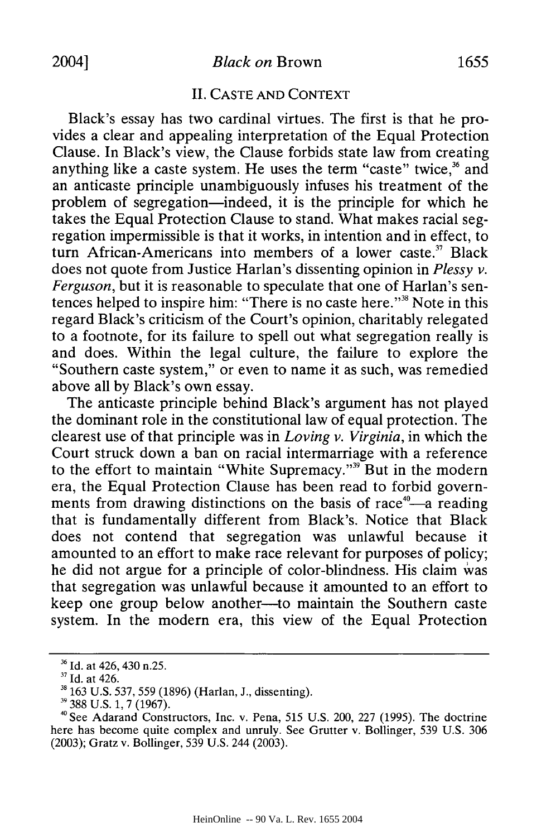# *Black on* Brown 2004] **1655**

### II. CASTE **AND** CONTEXT

Black's essay has two cardinal virtues. The first is that he provides a clear and appealing interpretation of the Equal Protection Clause. In Black's view, the Clause forbids state law from creating anything like a caste system. He uses the term "caste" twice,<sup>36</sup> and an anticaste principle unambiguously infuses his treatment of the problem of segregation—indeed, it is the principle for which he takes the Equal Protection Clause to stand. What makes racial segregation impermissible is that it works, in intention and in effect, to turn African-Americans into members of a lower caste.<sup>37</sup> Black does not quote from Justice Harlan's dissenting opinion in *Plessy v. Ferguson,* but it is reasonable to speculate that one of Harlan's sentences helped to inspire him: "There is no caste here."38 Note in this regard Black's criticism of the Court's opinion, charitably relegated to a footnote, for its failure to spell out what segregation really is and does. Within the legal culture, the failure to explore the "Southern caste system," or even to name it as such, was remedied above all by Black's own essay.

The anticaste principle behind Black's argument has not played the dominant role in the constitutional law of equal protection. The clearest use of that principle was in *Loving v. Virginia,* in which the Court struck down a ban on racial intermarriage with a reference to the effort to maintain "White Supremacy."39 But in the modern era, the Equal Protection Clause has been read to forbid governments from drawing distinctions on the basis of race $\alpha$  -a reading that is fundamentally different from Black's. Notice that Black does not contend that segregation was unlawful because it amounted to an effort to make race relevant for purposes of policy; he did not argue for a principle of color-blindness. His claim was that segregation was unlawful because it amounted to an effort to keep one group below another--to maintain the Southern caste system. In the modern era, this view of the Equal Protection

**<sup>36</sup>** Id. at 426, 430 n.25.

 $37$  Id. at 426.

<sup>38 163</sup> U.S. 537, 559 (1896) (Harlan, J., dissenting).

 $39$  388 U.S. 1, 7 (1967).

<sup>&#</sup>x27;See Adarand Constructors, Inc. v. Pena, 515 U.S. 200, 227 (1995). The doctrine here has become quite complex and unruly. See Grutter v. Bollinger, 539 U.S. 306 (2003); Gratz v. Bollinger, 539 U.S. 244 (2003).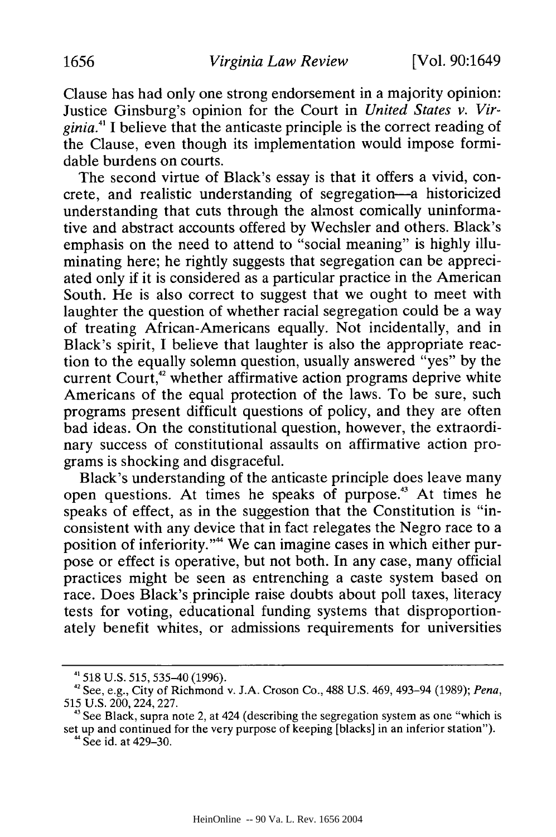Clause has had only one strong endorsement in a majority opinion: Justice Ginsburg's opinion for the Court in *United States v. Virginia.41* **I** believe that the anticaste principle is the correct reading of the Clause, even though its implementation would impose formidable burdens on courts.

The second virtue of Black's essay is that it offers a vivid, concrete, and realistic understanding of segregation-a historicized understanding that cuts through the almost comically uninformative and abstract accounts offered by Wechsler and others. Black's emphasis on the need to attend to "social meaning" is highly illuminating here; he rightly suggests that segregation can be appreciated only if it is considered as a particular practice in the American South. He is also correct to suggest that we ought to meet with laughter the question of whether racial segregation could be a way of treating African-Americans equally. Not incidentally, and in Black's spirit, I believe that laughter is also the appropriate reaction to the equally solemn question, usually answered "yes" by the current Court, $42$  whether affirmative action programs deprive white Americans of the equal protection of the laws. To be sure, such programs present difficult questions of policy, and they are often bad ideas. On the constitutional question, however, the extraordinary success of constitutional assaults on affirmative action programs is shocking and disgraceful.

Black's understanding of the anticaste principle does leave many open questions. At times he speaks of purpose.<sup>43</sup> At times he speaks of effect, as in the suggestion that the Constitution is "inconsistent with any device that in fact relegates the Negro race to a position of inferiority."" We can imagine cases in which either purpose or effect is operative, but not both. In any case, many official practices might be seen as entrenching a caste system based on race. Does Black's principle raise doubts about poll taxes, literacy tests for voting, educational funding systems that disproportionately benefit whites, or admissions requirements for universities

<sup>41 518</sup> U.S. 515, 535-40 (1996).

<sup>42</sup> See, e.g., City of Richmond v. J.A. Croson Co., 488 U.S. 469, 493-94 (1989); *Pena,* 515 U.S. 200, 224, 227.

<sup>&</sup>lt;sup>43</sup> See Black, supra note 2, at 424 (describing the segregation system as one "which is set up and continued for the very purpose of keeping [blacks] in an inferior station").

See id. at 429-30.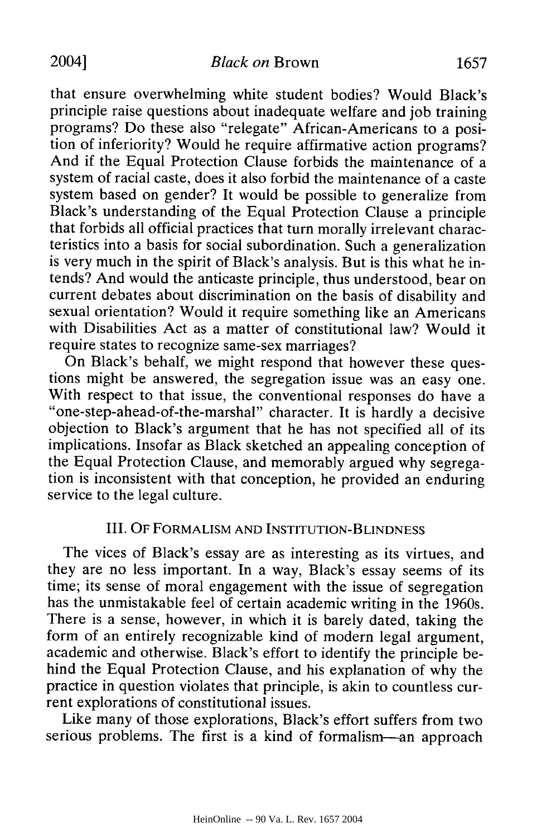that ensure overwhelming white student bodies? Would Black's principle raise questions about inadequate welfare and job training programs? Do these also "relegate" African-Americans to a position of inferiority? Would he require affirmative action programs? And if the Equal Protection Clause forbids the maintenance of a system of racial caste, does it also forbid the maintenance of a caste system based on gender? It would be possible to generalize from Black's understanding of the Equal Protection Clause a principle that forbids all official practices that turn morally irrelevant characteristics into a basis for social subordination. Such a generalization is very much in the spirit of Black's analysis. But is this what he intends? And would the anticaste principle, thus understood, bear on current debates about discrimination on the basis of disability and sexual orientation? Would it require something like an Americans with Disabilities Act as a matter of constitutional law? Would it require states to recognize same-sex marriages?

On Black's behalf, we might respond that however these questions might be answered, the segregation issue was an easy one. With respect to that issue, the conventional responses do have a "one-step-ahead-of-the-marshal" character. It is hardly a decisive objection to Black's argument that he has not specified all of its implications. Insofar as Black sketched an appealing conception of the Equal Protection Clause, and memorably argued why segregation is inconsistent with that conception, he provided an enduring service to the legal culture.

## III. OF FORMALISM **AND INSTITUTION-BLINDNESS**

The vices of Black's essay are as interesting as its virtues, and they are no less important. In a way, Black's essay seems of its time; its sense of moral engagement with the issue of segregation has the unmistakable feel of certain academic writing in the 1960s. There is a sense, however, in which it is barely dated, taking the form of an entirely recognizable kind of modern legal argument, academic and otherwise. Black's effort to identify the principle behind the Equal Protection Clause, and his explanation of why the practice in question violates that principle, is akin to countless current explorations of constitutional issues.

Like many of those explorations, Black's effort suffers from two serious problems. The first is a kind of formalism---an approach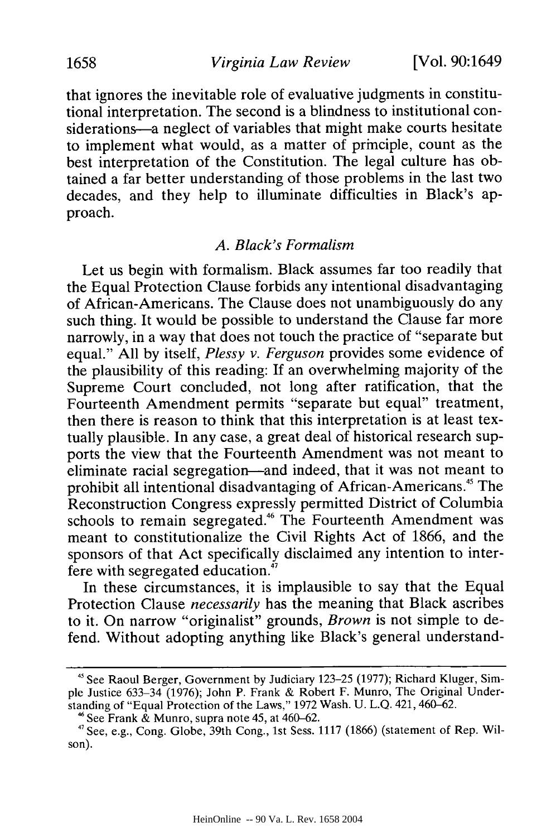that ignores the inevitable role of evaluative judgments in constitutional interpretation. The second is a blindness to institutional considerations-a neglect of variables that might make courts hesitate to implement what would, as a matter of principle, count as the best interpretation of the Constitution. The legal culture has obtained a far better understanding of those problems in the last two decades, and they help to illuminate difficulties in Black's approach.

### *A. Black's Formalism*

Let us begin with formalism. Black assumes far too readily that the Equal Protection Clause forbids any intentional disadvantaging of African-Americans. The Clause does not unambiguously do any such thing. It would be possible to understand the Clause far more narrowly, in a way that does not touch the practice of "separate but equal." All by itself, *Plessy v. Ferguson* provides some evidence of the plausibility of this reading: If an overwhelming majority of the Supreme Court concluded, not long after ratification, that the Fourteenth Amendment permits "separate but equal" treatment, then there is reason to think that this interpretation is at least textually plausible. In any case, a great deal of historical research supports the view that the Fourteenth Amendment was not meant to eliminate racial segregation-and indeed, that it was not meant to prohibit all intentional disadvantaging of African-Americans.<sup>45</sup> The Reconstruction Congress expressly permitted District of Columbia schools to remain segregated.<sup>46</sup> The Fourteenth Amendment was meant to constitutionalize the Civil Rights Act of 1866, and the sponsors of that Act specifically disclaimed any intention to interfere with segregated education. $47$ 

In these circumstances, it is implausible to say that the Equal Protection Clause *necessarily* has the meaning that Black ascribes to it. On narrow "originalist" grounds, *Brown* is not simple to defend. Without adopting anything like Black's general understand-

**<sup>&</sup>quot;** See Raoul Berger, Government by Judiciary 123-25 (1977); Richard Kluger, Simple Justice 633-34 (1976); John P. Frank & Robert F. Munro, The Original Understanding of "Equal Protection of the Laws," 1972 Wash. U. L.Q. 421, 460-62.

**<sup>6</sup>** See Frank & Munro, supra note 45, at 460-62.

See, e.g., Cong. Globe, 39th Cong., 1st Sess. 1117 (1866) (statement of Rep. Wilson).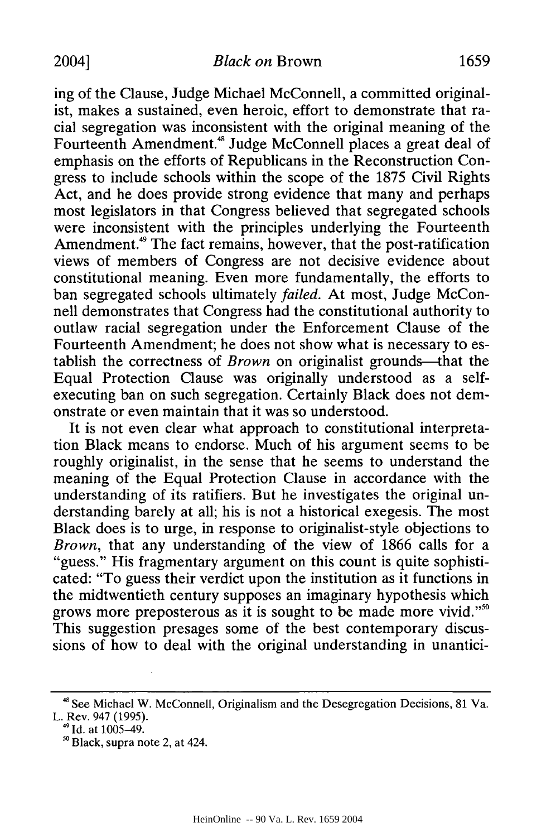ing of the Clause, Judge Michael McConnell, a committed originalist, makes a sustained, even heroic, effort to demonstrate that racial segregation was inconsistent with the original meaning of the Fourteenth Amendment.<sup>48</sup> Judge McConnell places a great deal of emphasis on the efforts of Republicans in the Reconstruction Congress to include schools within the scope of the 1875 Civil Rights Act, and he does provide strong evidence that many and perhaps most legislators in that Congress believed that segregated schools were inconsistent with the principles underlying the Fourteenth Amendment.<sup>49</sup> The fact remains, however, that the post-ratification views of members of Congress are not decisive evidence about constitutional meaning. Even more fundamentally, the efforts to ban segregated schools ultimately *failed.* At most, Judge McConnell demonstrates that Congress had the constitutional authority to outlaw racial segregation under the Enforcement Clause of the Fourteenth Amendment; he does not show what is necessary to establish the correctness of *Brown* on originalist grounds--that the Equal Protection Clause was originally understood as a selfexecuting ban on such segregation. Certainly Black does not demonstrate or even maintain that it was so understood.

It is not even clear what approach to constitutional interpretation Black means to endorse. Much of his argument seems to be roughly originalist, in the sense that he seems to understand the meaning of the Equal Protection Clause in accordance with the understanding of its ratifiers. But he investigates the original understanding barely at all; his is not a historical exegesis. The most Black does is to urge, in response to originalist-style objections to *Brown,* that any understanding of the view of 1866 calls for a "guess." His fragmentary argument on this count is quite sophisticated: "To guess their verdict upon the institution as it functions in the midtwentieth century supposes an imaginary hypothesis which grows more preposterous as it is sought to be made more vivid."<sup>50</sup> This suggestion presages some of the best contemporary discussions of how to deal with the original understanding in unantici-

<sup>&</sup>lt;sup>48</sup> See Michael W. McConnell, Originalism and the Desegregation Decisions, 81 Va. L. Rev. 947 (1995).

**<sup>&</sup>quot;** Id. at 1005-49.

**<sup>&#</sup>x27;0** Black, supra note 2, at 424.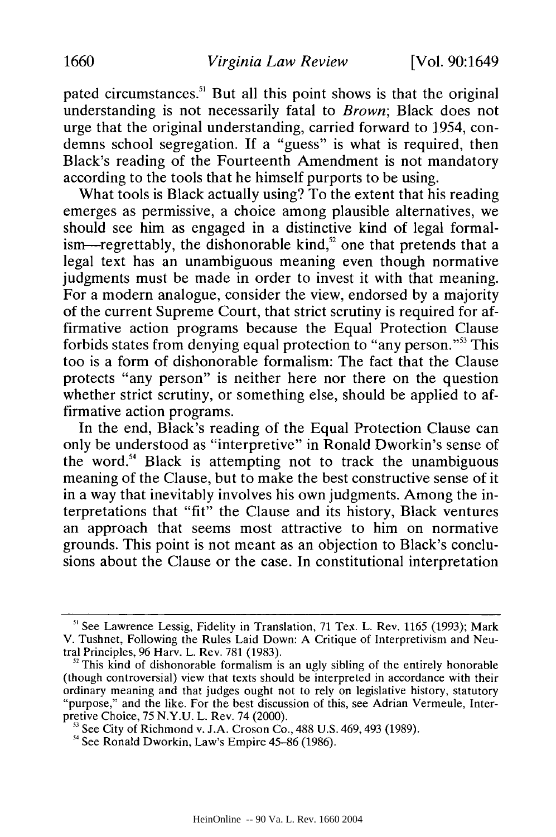pated circumstances." But all this point shows is that the original understanding is not necessarily fatal to *Brown;* Black does not urge that the original understanding, carried forward to 1954, condemns school segregation. If a "guess" is what is required, then Black's reading of the Fourteenth Amendment is not mandatory according to the tools that he himself purports to be using.

What tools is Black actually using? To the extent that his reading emerges as permissive, a choice among plausible alternatives, we should see him as engaged in a distinctive kind of legal formalism—regrettably, the dishonorable kind, $52$  one that pretends that a legal text has an unambiguous meaning even though normative judgments must be made in order to invest it with that meaning. For a modern analogue, consider the view, endorsed by a majority of the current Supreme Court, that strict scrutiny is required for affirmative action programs because the Equal Protection Clause forbids states from denying equal protection to "any person."<sup>53</sup> This too is a form of dishonorable formalism: The fact that the Clause protects "any person" is neither here nor there on the question whether strict scrutiny, or something else, should be applied to affirmative action programs.

In the end, Black's reading of the Equal Protection Clause can only be understood as "interpretive" in Ronald Dworkin's sense of the word. $54$  Black is attempting not to track the unambiguous meaning of the Clause, but to make the best constructive sense of it in a way that inevitably involves his own judgments. Among the interpretations that "fit" the Clause and its history, Black ventures an approach that seems most attractive to him on normative grounds. This point is not meant as an objection to Black's conclusions about the Clause or the case. In constitutional interpretation

<sup>&</sup>lt;sup>51</sup> See Lawrence Lessig, Fidelity in Translation, 71 Tex. L. Rev. 1165 (1993); Mark V. Tushnet, Following the Rules Laid Down: A Critique of Interpretivism and Neutral Principles, 96 Harv. L. Rev. 781 (1983).

<sup>&</sup>lt;sup>52</sup> This kind of dishonorable formalism is an ugly sibling of the entirely honorable (though controversial) view that texts should be interpreted in accordance with their ordinary meaning and that judges ought not to rely on legislative history, statutory "purpose," and the like. For the best discussion of this, see Adrian Vermeule, Interpretive Choice, 75 N.Y.U. L. Rev. 74 (2000).

See City of Richmond v. J.A. Croson Co., 488 U.S. 469, 493 (1989).

 $<sup>54</sup>$  See Ronald Dworkin, Law's Empire 45-86 (1986).</sup>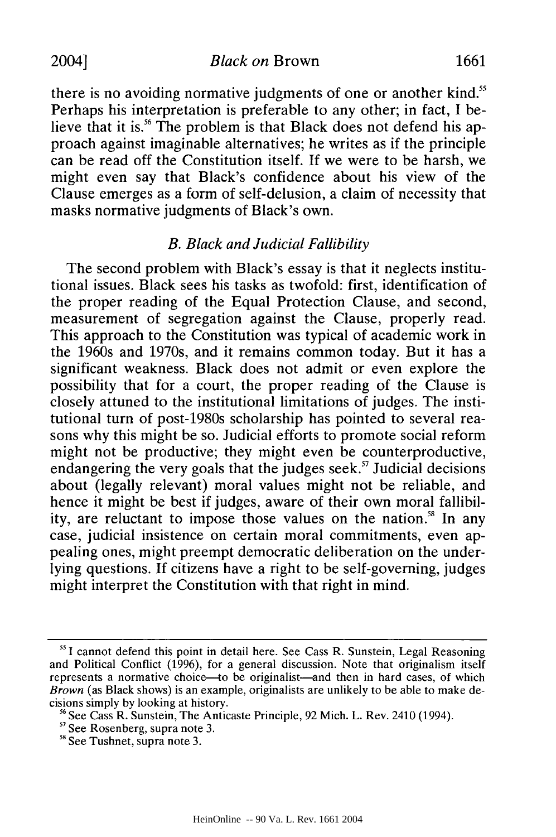*Black on* Brown **2004] 1661**

there is no avoiding normative judgments of one or another kind.<sup>55</sup> Perhaps his interpretation is preferable to any other; in fact, I believe that it is.<sup>56</sup> The problem is that Black does not defend his approach against imaginable alternatives; he writes as if the principle can be read off the Constitution itself. If we were to be harsh, we might even say that Black's confidence about his view of the Clause emerges as a form of self-delusion, a claim of necessity that masks normative judgments of Black's own.

# *B. Black and Judicial Fallibility*

The second problem with Black's essay is that it neglects institutional issues. Black sees his tasks as twofold: first, identification of the proper reading of the Equal Protection Clause, and second, measurement of segregation against the Clause, properly read. This approach to the Constitution was typical of academic work in the 1960s and 1970s, and it remains common today. But it has a significant weakness. Black does not admit or even explore the possibility that for a court, the proper reading of the Clause is closely attuned to the institutional limitations of judges. The institutional turn of post-1980s scholarship has pointed to several reasons why this might be so. Judicial efforts to promote social reform might not be productive; they might even be counterproductive, endangering the very goals that the judges seek.<sup>57</sup> Judicial decisions about (legally relevant) moral values might not be reliable, and hence it might be best if judges, aware of their own moral fallibility, are reluctant to impose those values on the nation." In any case, judicial insistence on certain moral commitments, even appealing ones, might preempt democratic deliberation on the underlying questions. If citizens have a right to be self-governing, judges might interpret the Constitution with that right in mind.

<sup>&</sup>lt;sup>55</sup>I cannot defend this point in detail here. See Cass R. Sunstein, Legal Reasoning and Political Conflict (1996), for a general discussion. Note that originalism itself represents a normative choice—to be originalist—and then in hard cases, of which *Brown* (as Black shows) is an example, originalists are unlikely to be able to make decisions simply by looking at history.<br><sup>56</sup> See Cass R. Sunstein, The Anticaste Principle, 92 Mich. L. Rev. 2410 (1994).

<sup>&</sup>lt;sup>57</sup> See Rosenberg, supra note 3.

<sup>&</sup>lt;sup>58</sup> See Tushnet, supra note 3.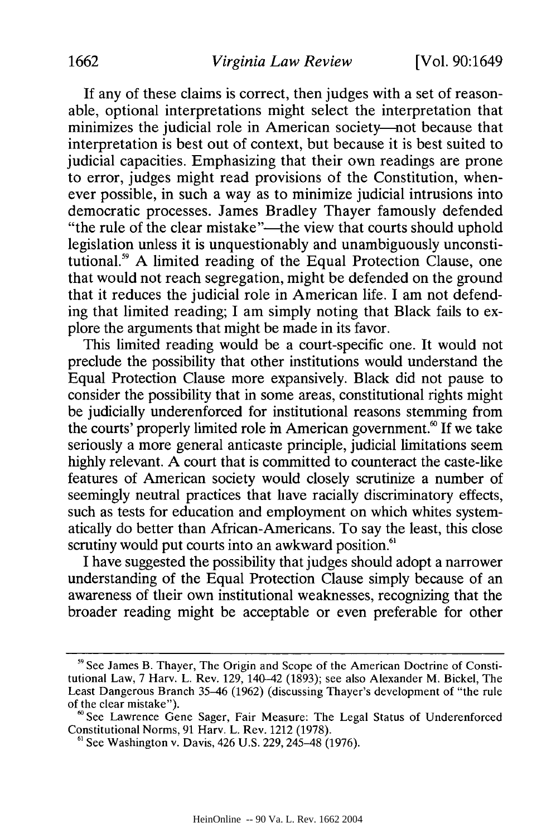If any of these claims is correct, then judges with a set of reasonable, optional interpretations might select the interpretation that minimizes the judicial role in American society—not because that interpretation is best out of context, but because it is best suited to judicial capacities. Emphasizing that their own readings are prone to error, judges might read provisions of the Constitution, whenever possible, in such a way as to minimize judicial intrusions into democratic processes. James Bradley Thayer famously defended "the rule of the clear mistake"—the view that courts should uphold legislation unless it is unquestionably and unambiguously unconstitutional.<sup>59</sup> A limited reading of the Equal Protection Clause, one that would not reach segregation, might be defended on the ground that it reduces the judicial role in American life. I am not defending that limited reading; I am simply noting that Black fails to explore the arguments that might be made in its favor.

This limited reading would be a court-specific one. It would not preclude the possibility that other institutions would understand the Equal Protection Clause more expansively. Black did not pause to consider the possibility that in some areas, constitutional rights might be judicially underenforced for institutional reasons stemming from the courts' properly limited role in American government.<sup>60</sup> If we take seriously a more general anticaste principle, judicial limitations seem highly relevant. A court that is committed to counteract the caste-like features of American society would closely scrutinize a number of seemingly neutral practices that have racially discriminatory effects, such as tests for education and employment on which whites systematically do better than African-Americans. To say the least, this close scrutiny would put courts into an awkward position.<sup>61</sup>

I have suggested the possibility that judges should adopt a narrower understanding of the Equal Protection Clause simply because of an awareness of their own institutional weaknesses, recognizing that the broader reading might be acceptable or even preferable for other

**<sup>&</sup>quot;** See James B. Thayer, The Origin and Scope of the American Doctrine of Constitutional Law, 7 Harv. L. Rev. 129, 140-42 (1893); see also Alexander M. Bickel, The Least Dangerous Branch **35-46** (1962) (discussing Thayer's development of "the rule of the clear mistake").

<sup>&</sup>lt;sup>60</sup> See Lawrence Gene Sager, Fair Measure: The Legal Status of Underenforced Constitutional Norms, 91 Harv. L. Rev. 1212 (1978).<br><sup>61</sup> See Washington v. Davis, 426 U.S. 229, 245–48 (1976).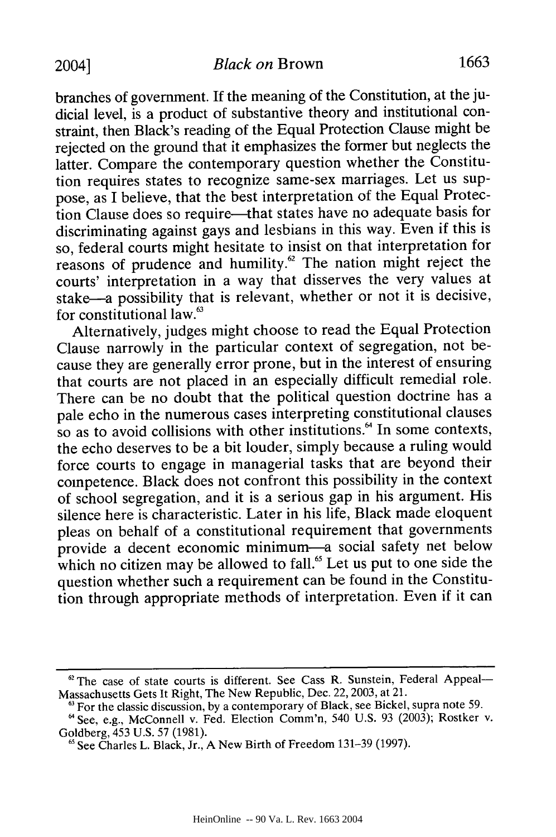branches of government. If the meaning of the Constitution, at the judicial level, is a product of substantive theory and institutional constraint, then Black's reading of the Equal Protection Clause might be rejected on the ground that it emphasizes the former but neglects the latter. Compare the contemporary question whether the Constitution requires states to recognize same-sex marriages. Let us suppose, as I believe, that the best interpretation of the Equal Protection Clause does so require-that states have no adequate basis for discriminating against gays and lesbians in this way. Even if this is so, federal courts might hesitate to insist on that interpretation for reasons of prudence and humility.<sup>62</sup> The nation might reject the courts' interpretation in a way that disserves the very values at stake-a possibility that is relevant, whether or not it is decisive, for constitutional law.<sup>63</sup>

Alternatively, judges might choose to read the Equal Protection Clause narrowly in the particular context of segregation, not because they are generally error prone, but in the interest of ensuring that courts are not placed in an especially difficult remedial role. There can be no doubt that the political question doctrine has a pale echo in the numerous cases interpreting constitutional clauses so as to avoid collisions with other institutions.<sup>64</sup> In some contexts, the echo deserves to be a bit louder, simply because a ruling would force courts to engage in managerial tasks that are beyond their competence. Black does not confront this possibility in the context of school segregation, and it is a serious gap in his argument. His silence here is characteristic. Later in his life, Black made eloquent pleas on behalf of a constitutional requirement that governments provide a decent economic minimum—a social safety net below which no citizen may be allowed to fall.<sup>65</sup> Let us put to one side the question whether such a requirement can be found in the Constitution through appropriate methods of interpretation. Even if it can

<sup>&</sup>lt;sup>62</sup> The case of state courts is different. See Cass R. Sunstein, Federal Appeal-Massachusetts Gets It Right, The New Republic, Dec. 22, 2003, at 21.<br><sup>63</sup> For the classic discussion, by a contemporary of Black, see Bickel, supra note 59.

See, e.g., McConnell v. Fed. Election Comm'n, 540 U.S. 93 (2003); Rostker v. Goldberg, 453 U.S. 57 (1981).<br><sup>65</sup> See Charles L. Black, Jr., A New Birth of Freedom 131-39 (1997).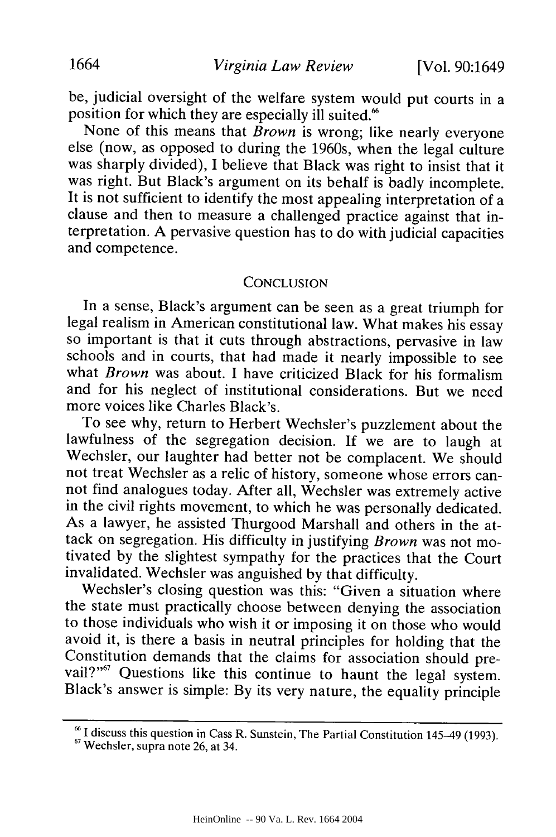be, judicial oversight of the welfare system would put courts in a position for which they are especially ill suited. $\degree$ <br>None of this means that *Brown* is wrong; like nearly everyone

else (now, as opposed to during the 1960s, when the legal culture was sharply divided), I believe that Black was right to insist that it was right. But Black's argument on its behalf is badly incomplete. It is not sufficient to identify the most appealing interpretation of a clause and then to measure a challenged practice against that interpretation. A pervasive question has to do with judicial capacities and competence.

#### **CONCLUSION**

In a sense, Black's argument can be seen as a great triumph for legal realism in American constitutional law. What makes his essay so important is that it cuts through abstractions, pervasive in law schools and in courts, that had made it nearly impossible to see what *Brown* was about. I have criticized Black for his formalism and for his neglect of institutional considerations. But we need more voices like Charles Black's.

To see why, return to Herbert Wechsler's puzzlement about the lawfulness of the segregation decision. If we are to laugh at Wechsler, our laughter had better not be complacent. We should not treat Wechsler as a relic of history, someone whose errors cannot find analogues today. After all, Wechsler was extremely active in the civil rights movement, to which he was personally dedicated. As a lawyer, he assisted Thurgood Marshall and others in the attack on segregation. His difficulty in justifying *Brown* was not motivated by the slightest sympathy for the practices that the Court invalidated. Wechsler was anguished by that difficulty.

Wechsler's closing question was this: "Given a situation where the state must practically choose between denying the association to those individuals who wish it or imposing it on those who would avoid it, is there a basis in neutral principles for holding that the Constitution demands that the claims for association should prevail?"<sup>67</sup> Questions like this continue to haunt the legal system. Black's answer is simple: By its very nature, the equality principle

**<sup>66</sup>I** discuss this question in Cass R. Sunstein, The Partial Constitution 145-49 (1993). **<sup>67</sup>**Wechsler, supra note 26, at 34.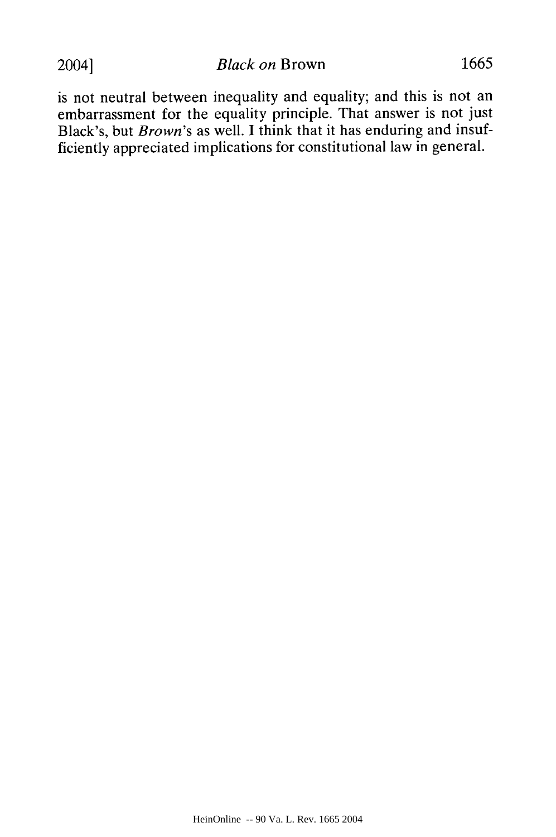is not neutral between inequality and equality; and this is not an embarrassment for the equality principle. That answer is not just Black's, but *Brown's* as well. I think that it has enduring and insufficiently appreciated implications for constitutional law in general.

HeinOnline -- 90 Va. L. Rev. 1665 2004